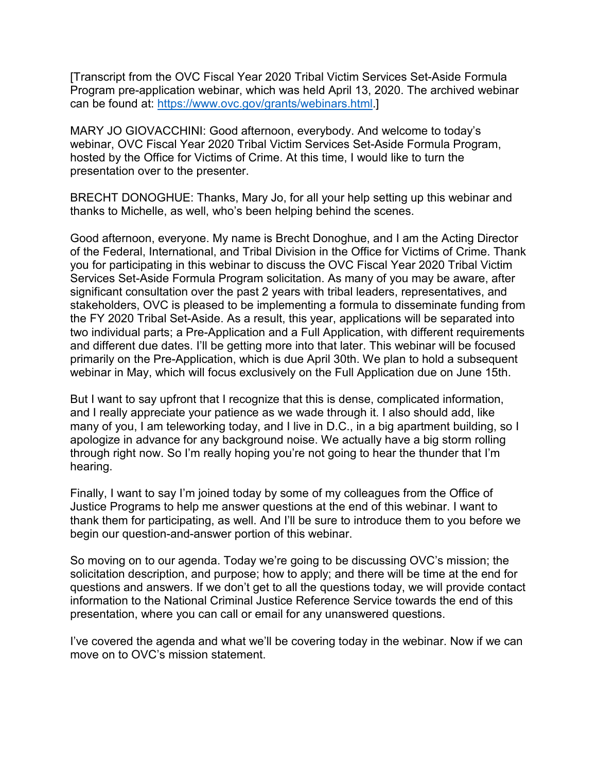[Transcript from the OVC Fiscal Year 2020 Tribal Victim Services Set-Aside Formula Program pre-application webinar, which was held April 13, 2020. The archived webinar can be found at: https://www.ovc.gov/grants/webinars.html.]

MARY JO GIOVACCHINI: Good afternoon, everybody. And welcome to today's webinar, OVC Fiscal Year 2020 Tribal Victim Services Set-Aside Formula Program, hosted by the Office for Victims of Crime. At this time, I would like to turn the presentation over to the presenter.

BRECHT DONOGHUE: Thanks, Mary Jo, for all your help setting up this webinar and thanks to Michelle, as well, who's been helping behind the scenes.

Good afternoon, everyone. My name is Brecht Donoghue, and I am the Acting Director of the Federal, International, and Tribal Division in the Office for Victims of Crime. Thank you for participating in this webinar to discuss the OVC Fiscal Year 2020 Tribal Victim Services Set-Aside Formula Program solicitation. As many of you may be aware, after significant consultation over the past 2 years with tribal leaders, representatives, and stakeholders, OVC is pleased to be implementing a formula to disseminate funding from the FY 2020 Tribal Set-Aside. As a result, this year, applications will be separated into two individual parts; a Pre-Application and a Full Application, with different requirements and different due dates. I'll be getting more into that later. This webinar will be focused primarily on the Pre-Application, which is due April 30th. We plan to hold a subsequent webinar in May, which will focus exclusively on the Full Application due on June 15th.

But I want to say upfront that I recognize that this is dense, complicated information, and I really appreciate your patience as we wade through it. I also should add, like many of you, I am teleworking today, and I live in D.C., in a big apartment building, so I apologize in advance for any background noise. We actually have a big storm rolling through right now. So I'm really hoping you're not going to hear the thunder that I'm hearing.

Finally, I want to say I'm joined today by some of my colleagues from the Office of Justice Programs to help me answer questions at the end of this webinar. I want to thank them for participating, as well. And I'll be sure to introduce them to you before we begin our question-and-answer portion of this webinar.

So moving on to our agenda. Today we're going to be discussing OVC's mission; the solicitation description, and purpose; how to apply; and there will be time at the end for questions and answers. If we don't get to all the questions today, we will provide contact information to the National Criminal Justice Reference Service towards the end of this presentation, where you can call or email for any unanswered questions.

I've covered the agenda and what we'll be covering today in the webinar. Now if we can move on to OVC's mission statement.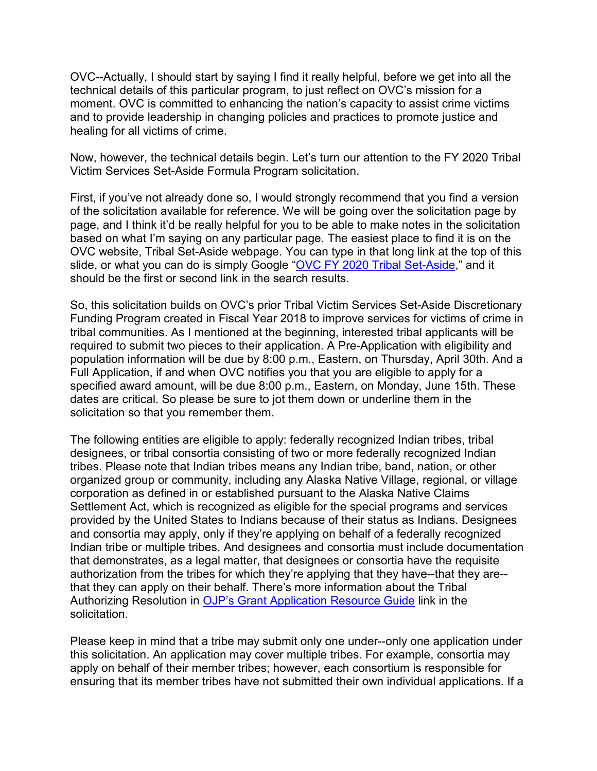OVC--Actually, I should start by saying I find it really helpful, before we get into all the technical details of this particular program, to just reflect on OVC's mission for a moment. OVC is committed to enhancing the nation's capacity to assist crime victims and to provide leadership in changing policies and practices to promote justice and healing for all victims of crime.

Now, however, the technical details begin. Let's turn our attention to the FY 2020 Tribal Victim Services Set-Aside Formula Program solicitation.

First, if you've not already done so, I would strongly recommend that you find a version of the solicitation available for reference. We will be going over the solicitation page by page, and I think it'd be really helpful for you to be able to make notes in the solicitation based on what I'm saying on any particular page. The easiest place to find it is on the OVC website, Tribal Set-Aside webpage. You can type in that long link at the top of this slide, or what you can do is simply Google ["OVC FY 2020 Tribal Set-Aside,](https://www.ovc.gov/news/tribal-set-aside.html)" and it should be the first or second link in the search results.

So, this solicitation builds on OVC's prior Tribal Victim Services Set-Aside Discretionary Funding Program created in Fiscal Year 2018 to improve services for victims of crime in tribal communities. As I mentioned at the beginning, interested tribal applicants will be required to submit two pieces to their application. A Pre-Application with eligibility and population information will be due by 8:00 p.m., Eastern, on Thursday, April 30th. And a Full Application, if and when OVC notifies you that you are eligible to apply for a specified award amount, will be due 8:00 p.m., Eastern, on Monday, June 15th. These dates are critical. So please be sure to jot them down or underline them in the solicitation so that you remember them.

The following entities are eligible to apply: federally recognized Indian tribes, tribal designees, or tribal consortia consisting of two or more federally recognized Indian tribes. Please note that Indian tribes means any Indian tribe, band, nation, or other organized group or community, including any Alaska Native Village, regional, or village corporation as defined in or established pursuant to the Alaska Native Claims Settlement Act, which is recognized as eligible for the special programs and services provided by the United States to Indians because of their status as Indians. Designees and consortia may apply, only if they're applying on behalf of a federally recognized Indian tribe or multiple tribes. And designees and consortia must include documentation that demonstrates, as a legal matter, that designees or consortia have the requisite authorization from the tribes for which they're applying that they have--that they are- that they can apply on their behalf. There's more information about the Tribal Authorizing Resolution in [OJP's Grant Application Resource Guide](https://www.ojp.gov/funding/Apply/Resources/Grant-App-Resource-Guide.htm#tribalAuthorizing) link in the solicitation.

Please keep in mind that a tribe may submit only one under--only one application under this solicitation. An application may cover multiple tribes. For example, consortia may apply on behalf of their member tribes; however, each consortium is responsible for ensuring that its member tribes have not submitted their own individual applications. If a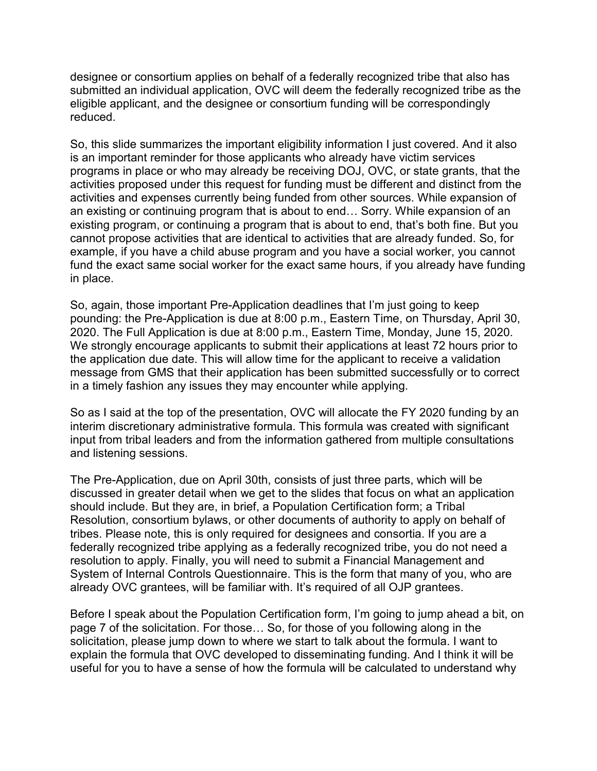designee or consortium applies on behalf of a federally recognized tribe that also has submitted an individual application, OVC will deem the federally recognized tribe as the eligible applicant, and the designee or consortium funding will be correspondingly reduced.

So, this slide summarizes the important eligibility information I just covered. And it also is an important reminder for those applicants who already have victim services programs in place or who may already be receiving DOJ, OVC, or state grants, that the activities proposed under this request for funding must be different and distinct from the activities and expenses currently being funded from other sources. While expansion of an existing or continuing program that is about to end… Sorry. While expansion of an existing program, or continuing a program that is about to end, that's both fine. But you cannot propose activities that are identical to activities that are already funded. So, for example, if you have a child abuse program and you have a social worker, you cannot fund the exact same social worker for the exact same hours, if you already have funding in place.

So, again, those important Pre-Application deadlines that I'm just going to keep pounding: the Pre-Application is due at 8:00 p.m., Eastern Time, on Thursday, April 30, 2020. The Full Application is due at 8:00 p.m., Eastern Time, Monday, June 15, 2020. We strongly encourage applicants to submit their applications at least 72 hours prior to the application due date. This will allow time for the applicant to receive a validation message from GMS that their application has been submitted successfully or to correct in a timely fashion any issues they may encounter while applying.

So as I said at the top of the presentation, OVC will allocate the FY 2020 funding by an interim discretionary administrative formula. This formula was created with significant input from tribal leaders and from the information gathered from multiple consultations and listening sessions.

The Pre-Application, due on April 30th, consists of just three parts, which will be discussed in greater detail when we get to the slides that focus on what an application should include. But they are, in brief, a Population Certification form; a Tribal Resolution, consortium bylaws, or other documents of authority to apply on behalf of tribes. Please note, this is only required for designees and consortia. If you are a federally recognized tribe applying as a federally recognized tribe, you do not need a resolution to apply. Finally, you will need to submit a Financial Management and System of Internal Controls Questionnaire. This is the form that many of you, who are already OVC grantees, will be familiar with. It's required of all OJP grantees.

Before I speak about the Population Certification form, I'm going to jump ahead a bit, on page 7 of the solicitation. For those… So, for those of you following along in the solicitation, please jump down to where we start to talk about the formula. I want to explain the formula that OVC developed to disseminating funding. And I think it will be useful for you to have a sense of how the formula will be calculated to understand why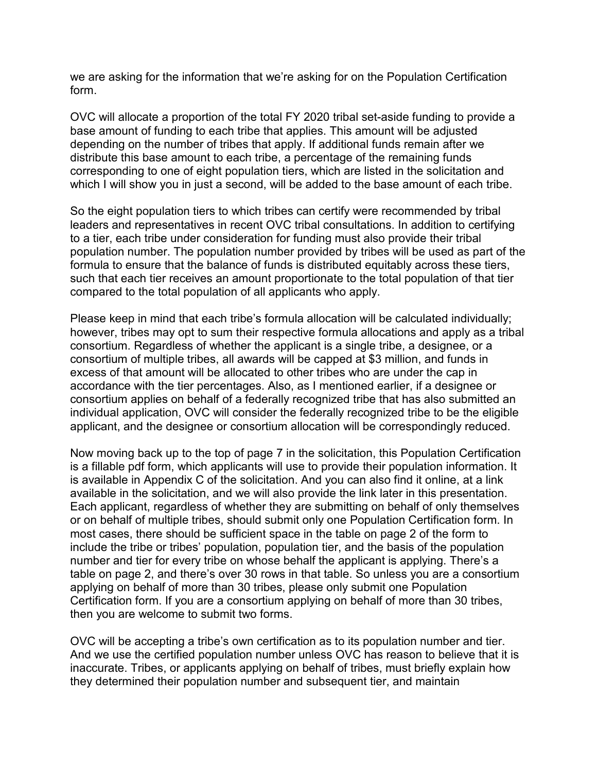we are asking for the information that we're asking for on the Population Certification form.

OVC will allocate a proportion of the total FY 2020 tribal set-aside funding to provide a base amount of funding to each tribe that applies. This amount will be adjusted depending on the number of tribes that apply. If additional funds remain after we distribute this base amount to each tribe, a percentage of the remaining funds corresponding to one of eight population tiers, which are listed in the solicitation and which I will show you in just a second, will be added to the base amount of each tribe.

So the eight population tiers to which tribes can certify were recommended by tribal leaders and representatives in recent OVC tribal consultations. In addition to certifying to a tier, each tribe under consideration for funding must also provide their tribal population number. The population number provided by tribes will be used as part of the formula to ensure that the balance of funds is distributed equitably across these tiers, such that each tier receives an amount proportionate to the total population of that tier compared to the total population of all applicants who apply.

Please keep in mind that each tribe's formula allocation will be calculated individually; however, tribes may opt to sum their respective formula allocations and apply as a tribal consortium. Regardless of whether the applicant is a single tribe, a designee, or a consortium of multiple tribes, all awards will be capped at \$3 million, and funds in excess of that amount will be allocated to other tribes who are under the cap in accordance with the tier percentages. Also, as I mentioned earlier, if a designee or consortium applies on behalf of a federally recognized tribe that has also submitted an individual application, OVC will consider the federally recognized tribe to be the eligible applicant, and the designee or consortium allocation will be correspondingly reduced.

Now moving back up to the top of page 7 in the solicitation, this Population Certification is a fillable pdf form, which applicants will use to provide their population information. It is available in Appendix C of the solicitation. And you can also find it online, at a link available in the solicitation, and we will also provide the link later in this presentation. Each applicant, regardless of whether they are submitting on behalf of only themselves or on behalf of multiple tribes, should submit only one Population Certification form. In most cases, there should be sufficient space in the table on page 2 of the form to include the tribe or tribes' population, population tier, and the basis of the population number and tier for every tribe on whose behalf the applicant is applying. There's a table on page 2, and there's over 30 rows in that table. So unless you are a consortium applying on behalf of more than 30 tribes, please only submit one Population Certification form. If you are a consortium applying on behalf of more than 30 tribes, then you are welcome to submit two forms.

OVC will be accepting a tribe's own certification as to its population number and tier. And we use the certified population number unless OVC has reason to believe that it is inaccurate. Tribes, or applicants applying on behalf of tribes, must briefly explain how they determined their population number and subsequent tier, and maintain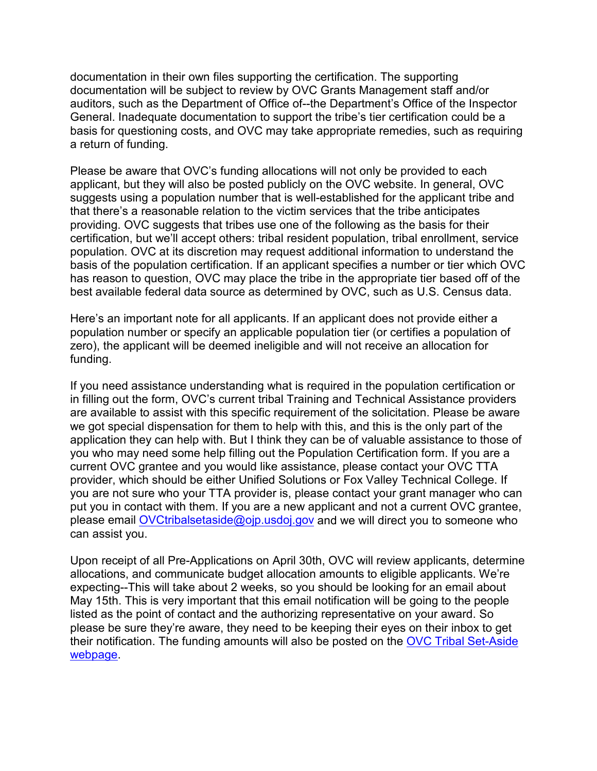documentation in their own files supporting the certification. The supporting documentation will be subject to review by OVC Grants Management staff and/or auditors, such as the Department of Office of--the Department's Office of the Inspector General. Inadequate documentation to support the tribe's tier certification could be a basis for questioning costs, and OVC may take appropriate remedies, such as requiring a return of funding.

Please be aware that OVC's funding allocations will not only be provided to each applicant, but they will also be posted publicly on the OVC website. In general, OVC suggests using a population number that is well-established for the applicant tribe and that there's a reasonable relation to the victim services that the tribe anticipates providing. OVC suggests that tribes use one of the following as the basis for their certification, but we'll accept others: tribal resident population, tribal enrollment, service population. OVC at its discretion may request additional information to understand the basis of the population certification. If an applicant specifies a number or tier which OVC has reason to question, OVC may place the tribe in the appropriate tier based off of the best available federal data source as determined by OVC, such as U.S. Census data.

Here's an important note for all applicants. If an applicant does not provide either a population number or specify an applicable population tier (or certifies a population of zero), the applicant will be deemed ineligible and will not receive an allocation for funding.

If you need assistance understanding what is required in the population certification or in filling out the form, OVC's current tribal Training and Technical Assistance providers are available to assist with this specific requirement of the solicitation. Please be aware we got special dispensation for them to help with this, and this is the only part of the application they can help with. But I think they can be of valuable assistance to those of you who may need some help filling out the Population Certification form. If you are a current OVC grantee and you would like assistance, please contact your OVC TTA provider, which should be either Unified Solutions or Fox Valley Technical College. If you are not sure who your TTA provider is, please contact your grant manager who can put you in contact with them. If you are a new applicant and not a current OVC grantee, please email [OVCtribalsetaside@ojp.usdoj.gov](mailto:OVCtribalsetaside@ojp.usdoj.gov) and we will direct you to someone who can assist you.

Upon receipt of all Pre-Applications on April 30th, OVC will review applicants, determine allocations, and communicate budget allocation amounts to eligible applicants. We're expecting--This will take about 2 weeks, so you should be looking for an email about May 15th. This is very important that this email notification will be going to the people listed as the point of contact and the authorizing representative on your award. So please be sure they're aware, they need to be keeping their eyes on their inbox to get their notification. The funding amounts will also be posted on the [OVC Tribal Set-Aside](https://www.ovc.gov/news/tribal-set-aside.html)  [webpage.](https://www.ovc.gov/news/tribal-set-aside.html)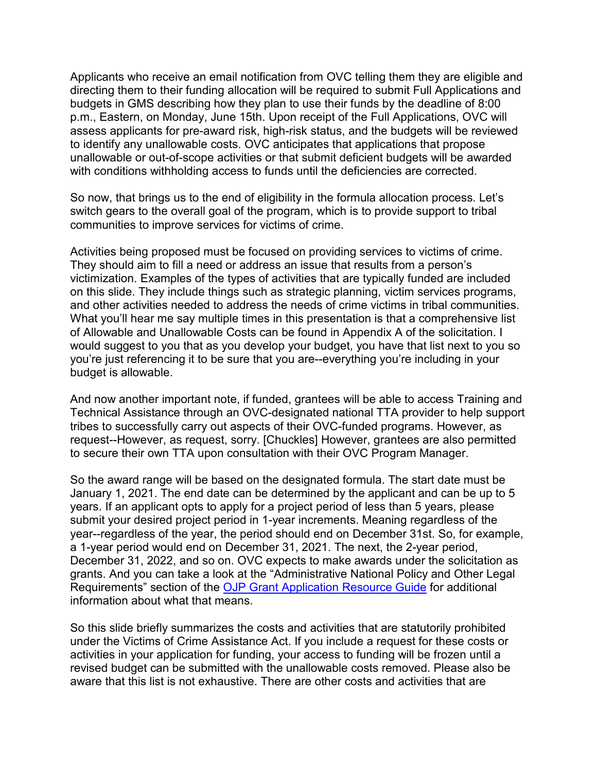Applicants who receive an email notification from OVC telling them they are eligible and directing them to their funding allocation will be required to submit Full Applications and budgets in GMS describing how they plan to use their funds by the deadline of 8:00 p.m., Eastern, on Monday, June 15th. Upon receipt of the Full Applications, OVC will assess applicants for pre-award risk, high-risk status, and the budgets will be reviewed to identify any unallowable costs. OVC anticipates that applications that propose unallowable or out-of-scope activities or that submit deficient budgets will be awarded with conditions withholding access to funds until the deficiencies are corrected.

So now, that brings us to the end of eligibility in the formula allocation process. Let's switch gears to the overall goal of the program, which is to provide support to tribal communities to improve services for victims of crime.

Activities being proposed must be focused on providing services to victims of crime. They should aim to fill a need or address an issue that results from a person's victimization. Examples of the types of activities that are typically funded are included on this slide. They include things such as strategic planning, victim services programs, and other activities needed to address the needs of crime victims in tribal communities. What you'll hear me say multiple times in this presentation is that a comprehensive list of Allowable and Unallowable Costs can be found in Appendix A of the solicitation. I would suggest to you that as you develop your budget, you have that list next to you so you're just referencing it to be sure that you are--everything you're including in your budget is allowable.

And now another important note, if funded, grantees will be able to access Training and Technical Assistance through an OVC-designated national TTA provider to help support tribes to successfully carry out aspects of their OVC-funded programs. However, as request--However, as request, sorry. [Chuckles] However, grantees are also permitted to secure their own TTA upon consultation with their OVC Program Manager.

So the award range will be based on the designated formula. The start date must be January 1, 2021. The end date can be determined by the applicant and can be up to 5 years. If an applicant opts to apply for a project period of less than 5 years, please submit your desired project period in 1-year increments. Meaning regardless of the year--regardless of the year, the period should end on December 31st. So, for example, a 1-year period would end on December 31, 2021. The next, the 2-year period, December 31, 2022, and so on. OVC expects to make awards under the solicitation as grants. And you can take a look at the "Administrative National Policy and Other Legal Requirements" section of the [OJP Grant Application Resource Guide](https://www.ojp.gov/funding/Apply/Resources/Grant-App-Resource-Guide.htm#otherLegalRequirements) for additional information about what that means.

So this slide briefly summarizes the costs and activities that are statutorily prohibited under the Victims of Crime Assistance Act. If you include a request for these costs or activities in your application for funding, your access to funding will be frozen until a revised budget can be submitted with the unallowable costs removed. Please also be aware that this list is not exhaustive. There are other costs and activities that are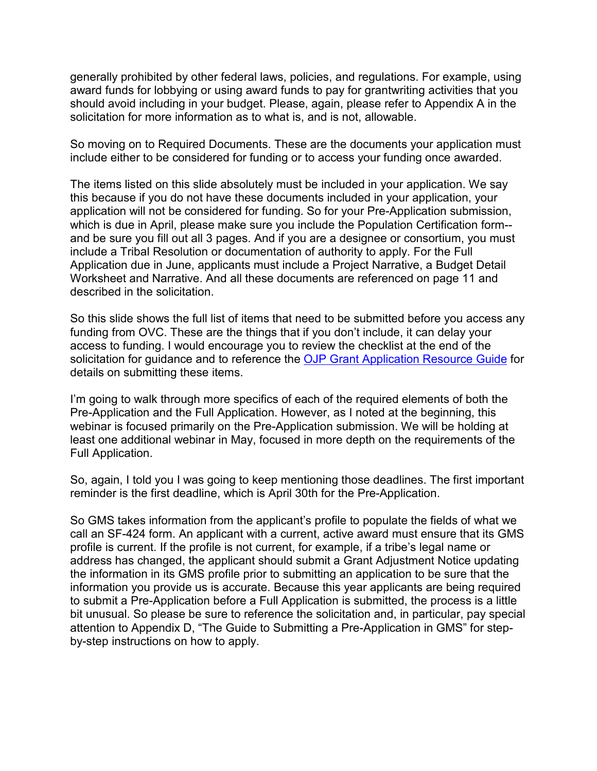generally prohibited by other federal laws, policies, and regulations. For example, using award funds for lobbying or using award funds to pay for grantwriting activities that you should avoid including in your budget. Please, again, please refer to Appendix A in the solicitation for more information as to what is, and is not, allowable.

So moving on to Required Documents. These are the documents your application must include either to be considered for funding or to access your funding once awarded.

The items listed on this slide absolutely must be included in your application. We say this because if you do not have these documents included in your application, your application will not be considered for funding. So for your Pre-Application submission, which is due in April, please make sure you include the Population Certification form- and be sure you fill out all 3 pages. And if you are a designee or consortium, you must include a Tribal Resolution or documentation of authority to apply. For the Full Application due in June, applicants must include a Project Narrative, a Budget Detail Worksheet and Narrative. And all these documents are referenced on page 11 and described in the solicitation.

So this slide shows the full list of items that need to be submitted before you access any funding from OVC. These are the things that if you don't include, it can delay your access to funding. I would encourage you to review the checklist at the end of the solicitation for guidance and to reference the [OJP Grant Application Resource Guide](https://www.ojp.gov/funding/Apply/Resources/Grant-App-Resource-Guide.htm) for details on submitting these items.

I'm going to walk through more specifics of each of the required elements of both the Pre-Application and the Full Application. However, as I noted at the beginning, this webinar is focused primarily on the Pre-Application submission. We will be holding at least one additional webinar in May, focused in more depth on the requirements of the Full Application.

So, again, I told you I was going to keep mentioning those deadlines. The first important reminder is the first deadline, which is April 30th for the Pre-Application.

So GMS takes information from the applicant's profile to populate the fields of what we call an SF-424 form. An applicant with a current, active award must ensure that its GMS profile is current. If the profile is not current, for example, if a tribe's legal name or address has changed, the applicant should submit a Grant Adjustment Notice updating the information in its GMS profile prior to submitting an application to be sure that the information you provide us is accurate. Because this year applicants are being required to submit a Pre-Application before a Full Application is submitted, the process is a little bit unusual. So please be sure to reference the solicitation and, in particular, pay special attention to Appendix D, "The Guide to Submitting a Pre-Application in GMS" for stepby-step instructions on how to apply.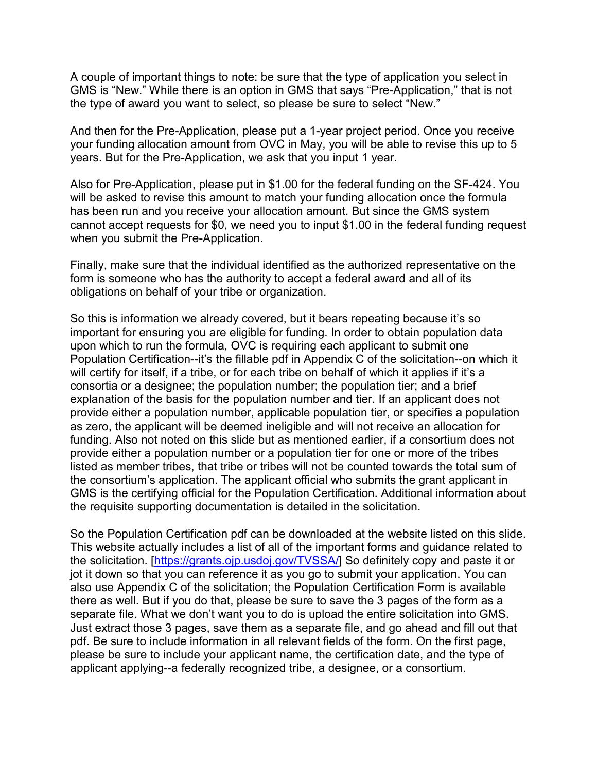A couple of important things to note: be sure that the type of application you select in GMS is "New." While there is an option in GMS that says "Pre-Application," that is not the type of award you want to select, so please be sure to select "New."

And then for the Pre-Application, please put a 1-year project period. Once you receive your funding allocation amount from OVC in May, you will be able to revise this up to 5 years. But for the Pre-Application, we ask that you input 1 year.

Also for Pre-Application, please put in \$1.00 for the federal funding on the SF-424. You will be asked to revise this amount to match your funding allocation once the formula has been run and you receive your allocation amount. But since the GMS system cannot accept requests for \$0, we need you to input \$1.00 in the federal funding request when you submit the Pre-Application.

Finally, make sure that the individual identified as the authorized representative on the form is someone who has the authority to accept a federal award and all of its obligations on behalf of your tribe or organization.

So this is information we already covered, but it bears repeating because it's so important for ensuring you are eligible for funding. In order to obtain population data upon which to run the formula, OVC is requiring each applicant to submit one Population Certification--it's the fillable pdf in Appendix C of the solicitation--on which it will certify for itself, if a tribe, or for each tribe on behalf of which it applies if it's a consortia or a designee; the population number; the population tier; and a brief explanation of the basis for the population number and tier. If an applicant does not provide either a population number, applicable population tier, or specifies a population as zero, the applicant will be deemed ineligible and will not receive an allocation for funding. Also not noted on this slide but as mentioned earlier, if a consortium does not provide either a population number or a population tier for one or more of the tribes listed as member tribes, that tribe or tribes will not be counted towards the total sum of the consortium's application. The applicant official who submits the grant applicant in GMS is the certifying official for the Population Certification. Additional information about the requisite supporting documentation is detailed in the solicitation.

So the Population Certification pdf can be downloaded at the website listed on this slide. This website actually includes a list of all of the important forms and guidance related to the solicitation. [\[https://grants.ojp.usdoj.gov/TVSSA/\]](https://grants.ojp.usdoj.gov/TVSSA/) So definitely copy and paste it or jot it down so that you can reference it as you go to submit your application. You can also use Appendix C of the solicitation; the Population Certification Form is available there as well. But if you do that, please be sure to save the 3 pages of the form as a separate file. What we don't want you to do is upload the entire solicitation into GMS. Just extract those 3 pages, save them as a separate file, and go ahead and fill out that pdf. Be sure to include information in all relevant fields of the form. On the first page, please be sure to include your applicant name, the certification date, and the type of applicant applying--a federally recognized tribe, a designee, or a consortium.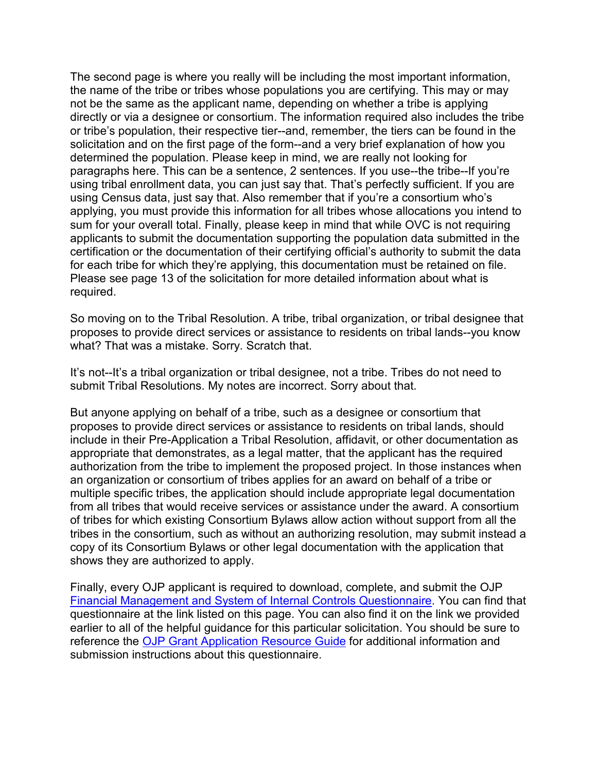The second page is where you really will be including the most important information, the name of the tribe or tribes whose populations you are certifying. This may or may not be the same as the applicant name, depending on whether a tribe is applying directly or via a designee or consortium. The information required also includes the tribe or tribe's population, their respective tier--and, remember, the tiers can be found in the solicitation and on the first page of the form--and a very brief explanation of how you determined the population. Please keep in mind, we are really not looking for paragraphs here. This can be a sentence, 2 sentences. If you use--the tribe--If you're using tribal enrollment data, you can just say that. That's perfectly sufficient. If you are using Census data, just say that. Also remember that if you're a consortium who's applying, you must provide this information for all tribes whose allocations you intend to sum for your overall total. Finally, please keep in mind that while OVC is not requiring applicants to submit the documentation supporting the population data submitted in the certification or the documentation of their certifying official's authority to submit the data for each tribe for which they're applying, this documentation must be retained on file. Please see page 13 of the solicitation for more detailed information about what is required.

So moving on to the Tribal Resolution. A tribe, tribal organization, or tribal designee that proposes to provide direct services or assistance to residents on tribal lands--you know what? That was a mistake. Sorry. Scratch that.

It's not--It's a tribal organization or tribal designee, not a tribe. Tribes do not need to submit Tribal Resolutions. My notes are incorrect. Sorry about that.

But anyone applying on behalf of a tribe, such as a designee or consortium that proposes to provide direct services or assistance to residents on tribal lands, should include in their Pre-Application a Tribal Resolution, affidavit, or other documentation as appropriate that demonstrates, as a legal matter, that the applicant has the required authorization from the tribe to implement the proposed project. In those instances when an organization or consortium of tribes applies for an award on behalf of a tribe or multiple specific tribes, the application should include appropriate legal documentation from all tribes that would receive services or assistance under the award. A consortium of tribes for which existing Consortium Bylaws allow action without support from all the tribes in the consortium, such as without an authorizing resolution, may submit instead a copy of its Consortium Bylaws or other legal documentation with the application that shows they are authorized to apply.

Finally, every OJP applicant is required to download, complete, and submit the OJP [Financial Management and System of Internal Controls Questionnaire.](https://ojp.gov/funding/Apply/Resources/FinancialCapability.pdf) You can find that questionnaire at the link listed on this page. You can also find it on the link we provided earlier to all of the helpful guidance for this particular solicitation. You should be sure to reference the [OJP Grant Application Resource Guide](https://www.ojp.gov/funding/Apply/Resources/Grant-App-Resource-Guide.htm#financialManagement) for additional information and submission instructions about this questionnaire.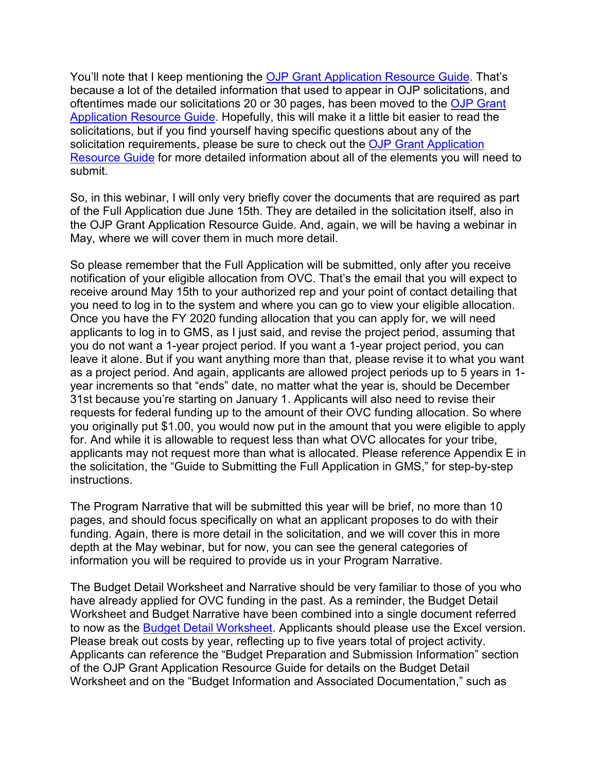You'll note that I keep mentioning the [OJP Grant Application Resource Guide.](https://www.ojp.gov/funding/Apply/Resources/Grant-App-Resource-Guide.htm) That's because a lot of the detailed information that used to appear in OJP solicitations, and oftentimes made our solicitations 20 or 30 pages, has been moved to the [OJP Grant](https://www.ojp.gov/funding/Apply/Resources/Grant-App-Resource-Guide.htm)  [Application Resource Guide.](https://www.ojp.gov/funding/Apply/Resources/Grant-App-Resource-Guide.htm) Hopefully, this will make it a little bit easier to read the solicitations, but if you find yourself having specific questions about any of the solicitation requirements, please be sure to check out the OJP Grant Application [Resource Guide](https://www.ojp.gov/funding/Apply/Resources/Grant-App-Resource-Guide.htm) for more detailed information about all of the elements you will need to submit.

So, in this webinar, I will only very briefly cover the documents that are required as part of the Full Application due June 15th. They are detailed in the solicitation itself, also in the OJP Grant Application Resource Guide. And, again, we will be having a webinar in May, where we will cover them in much more detail.

So please remember that the Full Application will be submitted, only after you receive notification of your eligible allocation from OVC. That's the email that you will expect to receive around May 15th to your authorized rep and your point of contact detailing that you need to log in to the system and where you can go to view your eligible allocation. Once you have the FY 2020 funding allocation that you can apply for, we will need applicants to log in to GMS, as I just said, and revise the project period, assuming that you do not want a 1-year project period. If you want a 1-year project period, you can leave it alone. But if you want anything more than that, please revise it to what you want as a project period. And again, applicants are allowed project periods up to 5 years in 1 year increments so that "ends" date, no matter what the year is, should be December 31st because you're starting on January 1. Applicants will also need to revise their requests for federal funding up to the amount of their OVC funding allocation. So where you originally put \$1.00, you would now put in the amount that you were eligible to apply for. And while it is allowable to request less than what OVC allocates for your tribe, applicants may not request more than what is allocated. Please reference Appendix E in the solicitation, the "Guide to Submitting the Full Application in GMS," for step-by-step instructions.

The Program Narrative that will be submitted this year will be brief, no more than 10 pages, and should focus specifically on what an applicant proposes to do with their funding. Again, there is more detail in the solicitation, and we will cover this in more depth at the May webinar, but for now, you can see the general categories of information you will be required to provide us in your Program Narrative.

The Budget Detail Worksheet and Narrative should be very familiar to those of you who have already applied for OVC funding in the past. As a reminder, the Budget Detail Worksheet and Budget Narrative have been combined into a single document referred to now as the [Budget Detail](https://ojp.gov/funding/Apply/Forms/BudgetDetailWorksheet.htm) Worksheet. Applicants should please use the Excel version. Please break out costs by year, reflecting up to five years total of project activity. Applicants can reference the "Budget Preparation and Submission Information" section of the OJP Grant Application Resource Guide for details on the Budget Detail Worksheet and on the "Budget Information and Associated Documentation," such as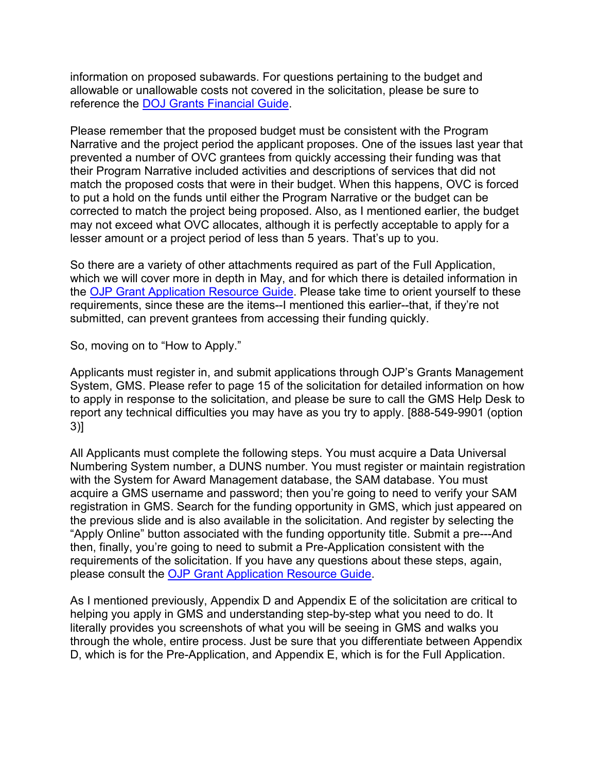information on proposed subawards. For questions pertaining to the budget and allowable or unallowable costs not covered in the solicitation, please be sure to reference the [DOJ Grants Financial Guide.](https://ojp.gov/financialguide/DOJ/index.htm)

Please remember that the proposed budget must be consistent with the Program Narrative and the project period the applicant proposes. One of the issues last year that prevented a number of OVC grantees from quickly accessing their funding was that their Program Narrative included activities and descriptions of services that did not match the proposed costs that were in their budget. When this happens, OVC is forced to put a hold on the funds until either the Program Narrative or the budget can be corrected to match the project being proposed. Also, as I mentioned earlier, the budget may not exceed what OVC allocates, although it is perfectly acceptable to apply for a lesser amount or a project period of less than 5 years. That's up to you.

So there are a variety of other attachments required as part of the Full Application, which we will cover more in depth in May, and for which there is detailed information in the [OJP Grant Application Resource Guide.](https://www.ojp.gov/funding/Apply/Resources/Grant-App-Resource-Guide.htm) Please take time to orient yourself to these requirements, since these are the items--I mentioned this earlier--that, if they're not submitted, can prevent grantees from accessing their funding quickly.

So, moving on to "How to Apply."

Applicants must register in, and submit applications through OJP's Grants Management System, GMS. Please refer to page 15 of the solicitation for detailed information on how to apply in response to the solicitation, and please be sure to call the GMS Help Desk to report any technical difficulties you may have as you try to apply. [888-549-9901 (option 3)]

All Applicants must complete the following steps. You must acquire a Data Universal Numbering System number, a DUNS number. You must register or maintain registration with the System for Award Management database, the SAM database. You must acquire a GMS username and password; then you're going to need to verify your SAM registration in GMS. Search for the funding opportunity in GMS, which just appeared on the previous slide and is also available in the solicitation. And register by selecting the "Apply Online" button associated with the funding opportunity title. Submit a pre---And then, finally, you're going to need to submit a Pre-Application consistent with the requirements of the solicitation. If you have any questions about these steps, again, please consult the [OJP Grant Application Resource Guide.](https://www.ojp.gov/funding/Apply/Resources/Grant-App-Resource-Guide.htm#howToApplyGMS)

As I mentioned previously, Appendix D and Appendix E of the solicitation are critical to helping you apply in GMS and understanding step-by-step what you need to do. It literally provides you screenshots of what you will be seeing in GMS and walks you through the whole, entire process. Just be sure that you differentiate between Appendix D, which is for the Pre-Application, and Appendix E, which is for the Full Application.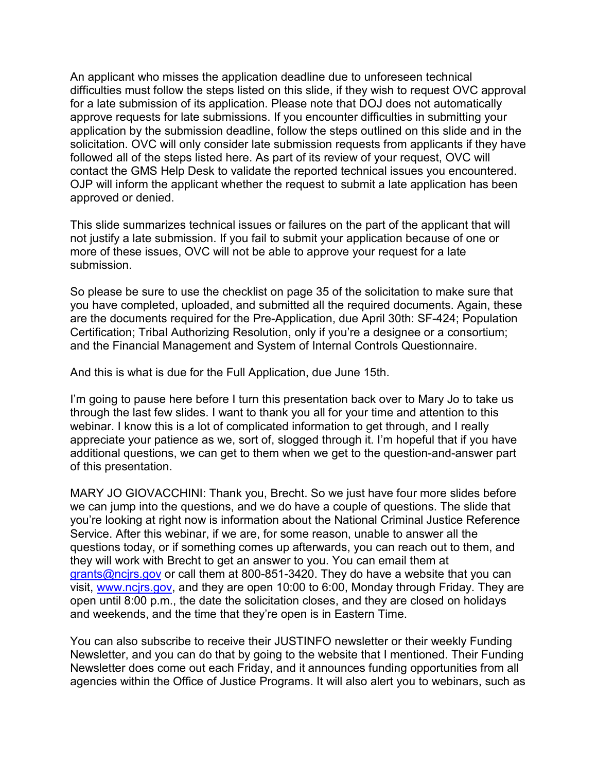An applicant who misses the application deadline due to unforeseen technical difficulties must follow the steps listed on this slide, if they wish to request OVC approval for a late submission of its application. Please note that DOJ does not automatically approve requests for late submissions. If you encounter difficulties in submitting your application by the submission deadline, follow the steps outlined on this slide and in the solicitation. OVC will only consider late submission requests from applicants if they have followed all of the steps listed here. As part of its review of your request, OVC will contact the GMS Help Desk to validate the reported technical issues you encountered. OJP will inform the applicant whether the request to submit a late application has been approved or denied.

This slide summarizes technical issues or failures on the part of the applicant that will not justify a late submission. If you fail to submit your application because of one or more of these issues, OVC will not be able to approve your request for a late submission.

So please be sure to use the checklist on page 35 of the solicitation to make sure that you have completed, uploaded, and submitted all the required documents. Again, these are the documents required for the Pre-Application, due April 30th: SF-424; Population Certification; Tribal Authorizing Resolution, only if you're a designee or a consortium; and the Financial Management and System of Internal Controls Questionnaire.

And this is what is due for the Full Application, due June 15th.

I'm going to pause here before I turn this presentation back over to Mary Jo to take us through the last few slides. I want to thank you all for your time and attention to this webinar. I know this is a lot of complicated information to get through, and I really appreciate your patience as we, sort of, slogged through it. I'm hopeful that if you have additional questions, we can get to them when we get to the question-and-answer part of this presentation.

MARY JO GIOVACCHINI: Thank you, Brecht. So we just have four more slides before we can jump into the questions, and we do have a couple of questions. The slide that you're looking at right now is information about the National Criminal Justice Reference Service. After this webinar, if we are, for some reason, unable to answer all the questions today, or if something comes up afterwards, you can reach out to them, and they will work with Brecht to get an answer to you. You can email them at [grants@ncjrs.gov](mailto:grants@ncjrs.gov) or call them at 800-851-3420. They do have a website that you can visit, [www.ncjrs.gov,](http://www.ncjrs.gov/) and they are open 10:00 to 6:00, Monday through Friday. They are open until 8:00 p.m., the date the solicitation closes, and they are closed on holidays and weekends, and the time that they're open is in Eastern Time.

You can also subscribe to receive their JUSTINFO newsletter or their weekly Funding Newsletter, and you can do that by going to the website that I mentioned. Their Funding Newsletter does come out each Friday, and it announces funding opportunities from all agencies within the Office of Justice Programs. It will also alert you to webinars, such as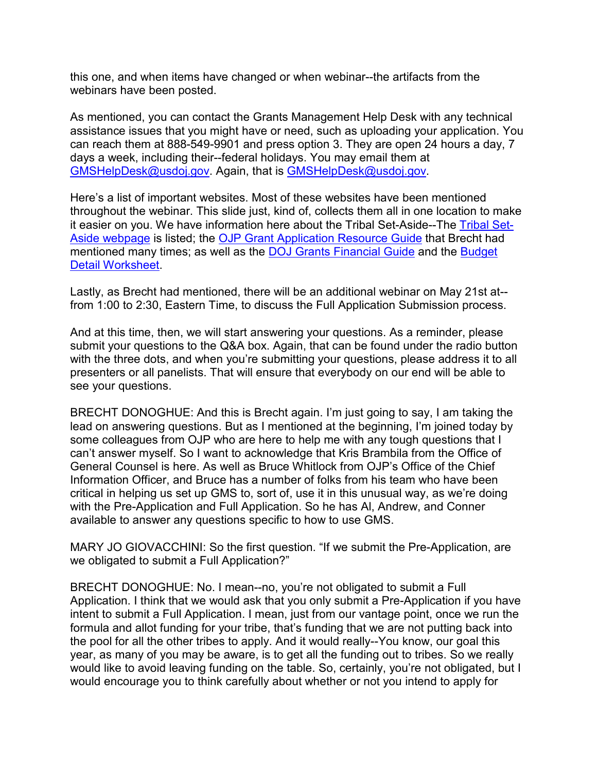this one, and when items have changed or when webinar--the artifacts from the webinars have been posted.

As mentioned, you can contact the Grants Management Help Desk with any technical assistance issues that you might have or need, such as uploading your application. You can reach them at 888-549-9901 and press option 3. They are open 24 hours a day, 7 days a week, including their--federal holidays. You may email them at [GMSHelpDesk@usdoj.gov.](mailto:GMSHelpDesk@usdoj.gov) Again, that is [GMSHelpDesk@usdoj.gov.](mailto:GMSHelpDesk@usdoj.gov)

Here's a list of important websites. Most of these websites have been mentioned throughout the webinar. This slide just, kind of, collects them all in one location to make it easier on you. We have information here about the Tribal Set-Aside--The [Tribal Set-](https://www.ovc.gov/news/tribal-set-aside.html)[Aside webpage](https://www.ovc.gov/news/tribal-set-aside.html) is listed; the [OJP Grant Application Resource Guide](https://www.ojp.gov/funding/Apply/Resources/Grant-App-Resource-Guide.htm) that Brecht had mentioned many times; as well as the **DOJ Grants Financial Guide and the Budget** [Detail Worksheet.](https://ojp.gov/funding/Apply/Forms/BudgetDetailWorksheet.htm)

Lastly, as Brecht had mentioned, there will be an additional webinar on May 21st at- from 1:00 to 2:30, Eastern Time, to discuss the Full Application Submission process.

And at this time, then, we will start answering your questions. As a reminder, please submit your questions to the Q&A box. Again, that can be found under the radio button with the three dots, and when you're submitting your questions, please address it to all presenters or all panelists. That will ensure that everybody on our end will be able to see your questions.

BRECHT DONOGHUE: And this is Brecht again. I'm just going to say, I am taking the lead on answering questions. But as I mentioned at the beginning, I'm joined today by some colleagues from OJP who are here to help me with any tough questions that I can't answer myself. So I want to acknowledge that Kris Brambila from the Office of General Counsel is here. As well as Bruce Whitlock from OJP's Office of the Chief Information Officer, and Bruce has a number of folks from his team who have been critical in helping us set up GMS to, sort of, use it in this unusual way, as we're doing with the Pre-Application and Full Application. So he has Al, Andrew, and Conner available to answer any questions specific to how to use GMS.

MARY JO GIOVACCHINI: So the first question. "If we submit the Pre-Application, are we obligated to submit a Full Application?"

BRECHT DONOGHUE: No. I mean--no, you're not obligated to submit a Full Application. I think that we would ask that you only submit a Pre-Application if you have intent to submit a Full Application. I mean, just from our vantage point, once we run the formula and allot funding for your tribe, that's funding that we are not putting back into the pool for all the other tribes to apply. And it would really--You know, our goal this year, as many of you may be aware, is to get all the funding out to tribes. So we really would like to avoid leaving funding on the table. So, certainly, you're not obligated, but I would encourage you to think carefully about whether or not you intend to apply for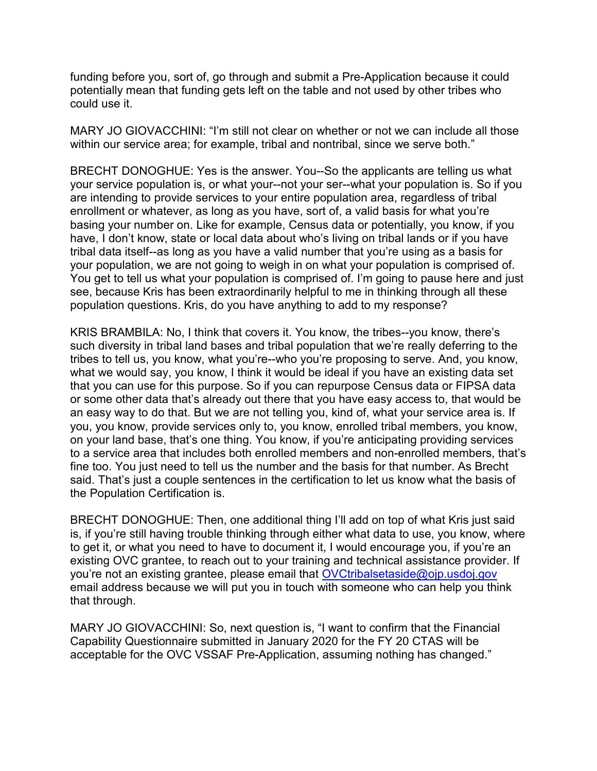funding before you, sort of, go through and submit a Pre-Application because it could potentially mean that funding gets left on the table and not used by other tribes who could use it.

MARY JO GIOVACCHINI: "I'm still not clear on whether or not we can include all those within our service area; for example, tribal and nontribal, since we serve both."

BRECHT DONOGHUE: Yes is the answer. You--So the applicants are telling us what your service population is, or what your--not your ser--what your population is. So if you are intending to provide services to your entire population area, regardless of tribal enrollment or whatever, as long as you have, sort of, a valid basis for what you're basing your number on. Like for example, Census data or potentially, you know, if you have, I don't know, state or local data about who's living on tribal lands or if you have tribal data itself--as long as you have a valid number that you're using as a basis for your population, we are not going to weigh in on what your population is comprised of. You get to tell us what your population is comprised of. I'm going to pause here and just see, because Kris has been extraordinarily helpful to me in thinking through all these population questions. Kris, do you have anything to add to my response?

KRIS BRAMBILA: No, I think that covers it. You know, the tribes--you know, there's such diversity in tribal land bases and tribal population that we're really deferring to the tribes to tell us, you know, what you're--who you're proposing to serve. And, you know, what we would say, you know, I think it would be ideal if you have an existing data set that you can use for this purpose. So if you can repurpose Census data or FIPSA data or some other data that's already out there that you have easy access to, that would be an easy way to do that. But we are not telling you, kind of, what your service area is. If you, you know, provide services only to, you know, enrolled tribal members, you know, on your land base, that's one thing. You know, if you're anticipating providing services to a service area that includes both enrolled members and non-enrolled members, that's fine too. You just need to tell us the number and the basis for that number. As Brecht said. That's just a couple sentences in the certification to let us know what the basis of the Population Certification is.

BRECHT DONOGHUE: Then, one additional thing I'll add on top of what Kris just said is, if you're still having trouble thinking through either what data to use, you know, where to get it, or what you need to have to document it, I would encourage you, if you're an existing OVC grantee, to reach out to your training and technical assistance provider. If you're not an existing grantee, please email that [OVCtribalsetaside@ojp.usdoj.gov](mailto:OVCtribalsetaside@ojp.usdoj.gov) email address because we will put you in touch with someone who can help you think that through.

MARY JO GIOVACCHINI: So, next question is, "I want to confirm that the Financial Capability Questionnaire submitted in January 2020 for the FY 20 CTAS will be acceptable for the OVC VSSAF Pre-Application, assuming nothing has changed."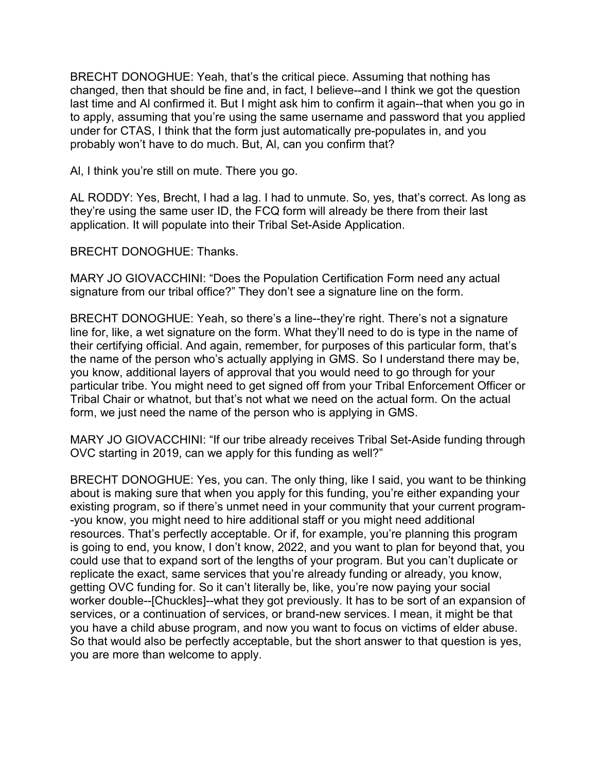BRECHT DONOGHUE: Yeah, that's the critical piece. Assuming that nothing has changed, then that should be fine and, in fact, I believe--and I think we got the question last time and Al confirmed it. But I might ask him to confirm it again--that when you go in to apply, assuming that you're using the same username and password that you applied under for CTAS, I think that the form just automatically pre-populates in, and you probably won't have to do much. But, Al, can you confirm that?

Al, I think you're still on mute. There you go.

AL RODDY: Yes, Brecht, I had a lag. I had to unmute. So, yes, that's correct. As long as they're using the same user ID, the FCQ form will already be there from their last application. It will populate into their Tribal Set-Aside Application.

BRECHT DONOGHUE: Thanks.

MARY JO GIOVACCHINI: "Does the Population Certification Form need any actual signature from our tribal office?" They don't see a signature line on the form.

BRECHT DONOGHUE: Yeah, so there's a line--they're right. There's not a signature line for, like, a wet signature on the form. What they'll need to do is type in the name of their certifying official. And again, remember, for purposes of this particular form, that's the name of the person who's actually applying in GMS. So I understand there may be, you know, additional layers of approval that you would need to go through for your particular tribe. You might need to get signed off from your Tribal Enforcement Officer or Tribal Chair or whatnot, but that's not what we need on the actual form. On the actual form, we just need the name of the person who is applying in GMS.

MARY JO GIOVACCHINI: "If our tribe already receives Tribal Set-Aside funding through OVC starting in 2019, can we apply for this funding as well?"

BRECHT DONOGHUE: Yes, you can. The only thing, like I said, you want to be thinking about is making sure that when you apply for this funding, you're either expanding your existing program, so if there's unmet need in your community that your current program- -you know, you might need to hire additional staff or you might need additional resources. That's perfectly acceptable. Or if, for example, you're planning this program is going to end, you know, I don't know, 2022, and you want to plan for beyond that, you could use that to expand sort of the lengths of your program. But you can't duplicate or replicate the exact, same services that you're already funding or already, you know, getting OVC funding for. So it can't literally be, like, you're now paying your social worker double--[Chuckles]--what they got previously. It has to be sort of an expansion of services, or a continuation of services, or brand-new services. I mean, it might be that you have a child abuse program, and now you want to focus on victims of elder abuse. So that would also be perfectly acceptable, but the short answer to that question is yes, you are more than welcome to apply.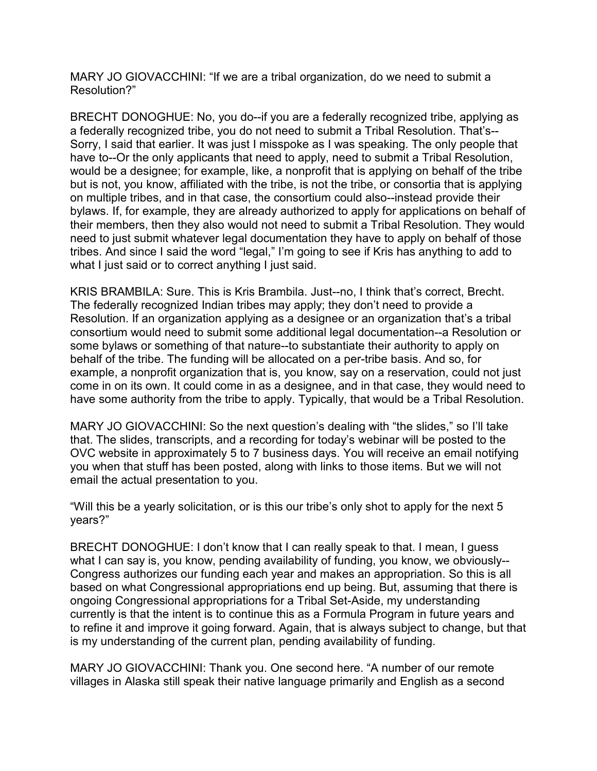MARY JO GIOVACCHINI: "If we are a tribal organization, do we need to submit a Resolution?"

BRECHT DONOGHUE: No, you do--if you are a federally recognized tribe, applying as a federally recognized tribe, you do not need to submit a Tribal Resolution. That's-- Sorry, I said that earlier. It was just I misspoke as I was speaking. The only people that have to--Or the only applicants that need to apply, need to submit a Tribal Resolution, would be a designee; for example, like, a nonprofit that is applying on behalf of the tribe but is not, you know, affiliated with the tribe, is not the tribe, or consortia that is applying on multiple tribes, and in that case, the consortium could also--instead provide their bylaws. If, for example, they are already authorized to apply for applications on behalf of their members, then they also would not need to submit a Tribal Resolution. They would need to just submit whatever legal documentation they have to apply on behalf of those tribes. And since I said the word "legal," I'm going to see if Kris has anything to add to what I just said or to correct anything I just said.

KRIS BRAMBILA: Sure. This is Kris Brambila. Just--no, I think that's correct, Brecht. The federally recognized Indian tribes may apply; they don't need to provide a Resolution. If an organization applying as a designee or an organization that's a tribal consortium would need to submit some additional legal documentation--a Resolution or some bylaws or something of that nature--to substantiate their authority to apply on behalf of the tribe. The funding will be allocated on a per-tribe basis. And so, for example, a nonprofit organization that is, you know, say on a reservation, could not just come in on its own. It could come in as a designee, and in that case, they would need to have some authority from the tribe to apply. Typically, that would be a Tribal Resolution.

MARY JO GIOVACCHINI: So the next question's dealing with "the slides," so I'll take that. The slides, transcripts, and a recording for today's webinar will be posted to the OVC website in approximately 5 to 7 business days. You will receive an email notifying you when that stuff has been posted, along with links to those items. But we will not email the actual presentation to you.

"Will this be a yearly solicitation, or is this our tribe's only shot to apply for the next 5 years?"

BRECHT DONOGHUE: I don't know that I can really speak to that. I mean, I guess what I can say is, you know, pending availability of funding, you know, we obviously-- Congress authorizes our funding each year and makes an appropriation. So this is all based on what Congressional appropriations end up being. But, assuming that there is ongoing Congressional appropriations for a Tribal Set-Aside, my understanding currently is that the intent is to continue this as a Formula Program in future years and to refine it and improve it going forward. Again, that is always subject to change, but that is my understanding of the current plan, pending availability of funding.

MARY JO GIOVACCHINI: Thank you. One second here. "A number of our remote villages in Alaska still speak their native language primarily and English as a second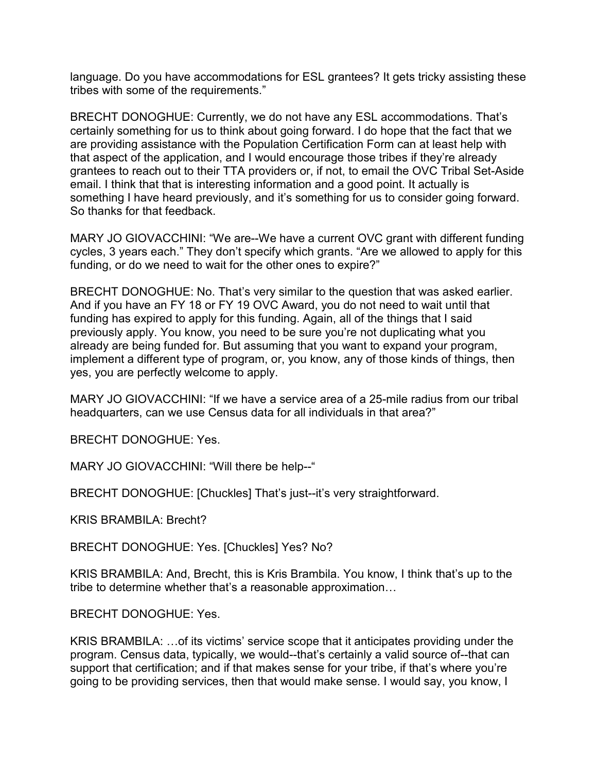language. Do you have accommodations for ESL grantees? It gets tricky assisting these tribes with some of the requirements."

BRECHT DONOGHUE: Currently, we do not have any ESL accommodations. That's certainly something for us to think about going forward. I do hope that the fact that we are providing assistance with the Population Certification Form can at least help with that aspect of the application, and I would encourage those tribes if they're already grantees to reach out to their TTA providers or, if not, to email the OVC Tribal Set-Aside email. I think that that is interesting information and a good point. It actually is something I have heard previously, and it's something for us to consider going forward. So thanks for that feedback.

MARY JO GIOVACCHINI: "We are--We have a current OVC grant with different funding cycles, 3 years each." They don't specify which grants. "Are we allowed to apply for this funding, or do we need to wait for the other ones to expire?"

BRECHT DONOGHUE: No. That's very similar to the question that was asked earlier. And if you have an FY 18 or FY 19 OVC Award, you do not need to wait until that funding has expired to apply for this funding. Again, all of the things that I said previously apply. You know, you need to be sure you're not duplicating what you already are being funded for. But assuming that you want to expand your program, implement a different type of program, or, you know, any of those kinds of things, then yes, you are perfectly welcome to apply.

MARY JO GIOVACCHINI: "If we have a service area of a 25-mile radius from our tribal headquarters, can we use Census data for all individuals in that area?"

BRECHT DONOGHUE: Yes.

MARY JO GIOVACCHINI: "Will there be help--"

BRECHT DONOGHUE: [Chuckles] That's just--it's very straightforward.

KRIS BRAMBILA: Brecht?

BRECHT DONOGHUE: Yes. [Chuckles] Yes? No?

KRIS BRAMBILA: And, Brecht, this is Kris Brambila. You know, I think that's up to the tribe to determine whether that's a reasonable approximation…

BRECHT DONOGHUE: Yes.

KRIS BRAMBILA: …of its victims' service scope that it anticipates providing under the program. Census data, typically, we would--that's certainly a valid source of--that can support that certification; and if that makes sense for your tribe, if that's where you're going to be providing services, then that would make sense. I would say, you know, I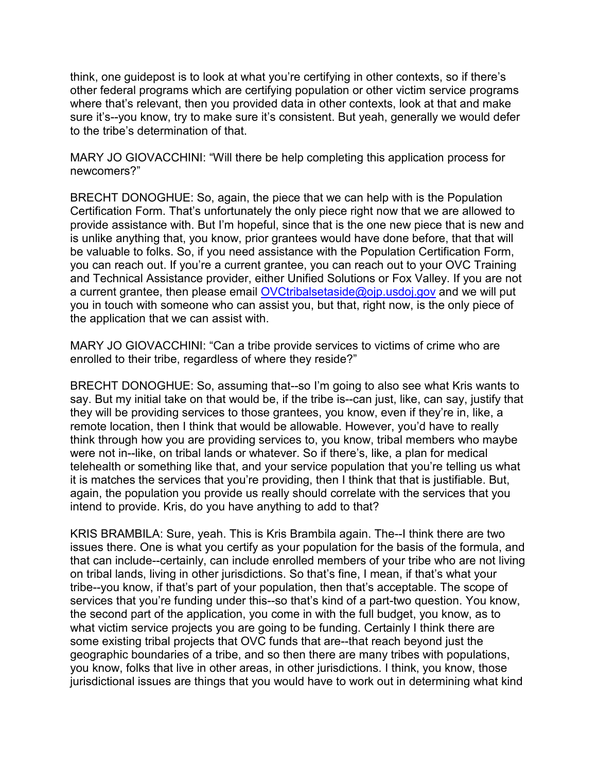think, one guidepost is to look at what you're certifying in other contexts, so if there's other federal programs which are certifying population or other victim service programs where that's relevant, then you provided data in other contexts, look at that and make sure it's--you know, try to make sure it's consistent. But yeah, generally we would defer to the tribe's determination of that.

MARY JO GIOVACCHINI: "Will there be help completing this application process for newcomers?"

BRECHT DONOGHUE: So, again, the piece that we can help with is the Population Certification Form. That's unfortunately the only piece right now that we are allowed to provide assistance with. But I'm hopeful, since that is the one new piece that is new and is unlike anything that, you know, prior grantees would have done before, that that will be valuable to folks. So, if you need assistance with the Population Certification Form, you can reach out. If you're a current grantee, you can reach out to your OVC Training and Technical Assistance provider, either Unified Solutions or Fox Valley. If you are not a current grantee, then please email [OVCtribalsetaside@ojp.usdoj.gov](mailto:OVCtribalsetaside@ojp.usdoj.gov) and we will put you in touch with someone who can assist you, but that, right now, is the only piece of the application that we can assist with.

MARY JO GIOVACCHINI: "Can a tribe provide services to victims of crime who are enrolled to their tribe, regardless of where they reside?"

BRECHT DONOGHUE: So, assuming that--so I'm going to also see what Kris wants to say. But my initial take on that would be, if the tribe is--can just, like, can say, justify that they will be providing services to those grantees, you know, even if they're in, like, a remote location, then I think that would be allowable. However, you'd have to really think through how you are providing services to, you know, tribal members who maybe were not in--like, on tribal lands or whatever. So if there's, like, a plan for medical telehealth or something like that, and your service population that you're telling us what it is matches the services that you're providing, then I think that that is justifiable. But, again, the population you provide us really should correlate with the services that you intend to provide. Kris, do you have anything to add to that?

KRIS BRAMBILA: Sure, yeah. This is Kris Brambila again. The--I think there are two issues there. One is what you certify as your population for the basis of the formula, and that can include--certainly, can include enrolled members of your tribe who are not living on tribal lands, living in other jurisdictions. So that's fine, I mean, if that's what your tribe--you know, if that's part of your population, then that's acceptable. The scope of services that you're funding under this--so that's kind of a part-two question. You know, the second part of the application, you come in with the full budget, you know, as to what victim service projects you are going to be funding. Certainly I think there are some existing tribal projects that OVC funds that are--that reach beyond just the geographic boundaries of a tribe, and so then there are many tribes with populations, you know, folks that live in other areas, in other jurisdictions. I think, you know, those jurisdictional issues are things that you would have to work out in determining what kind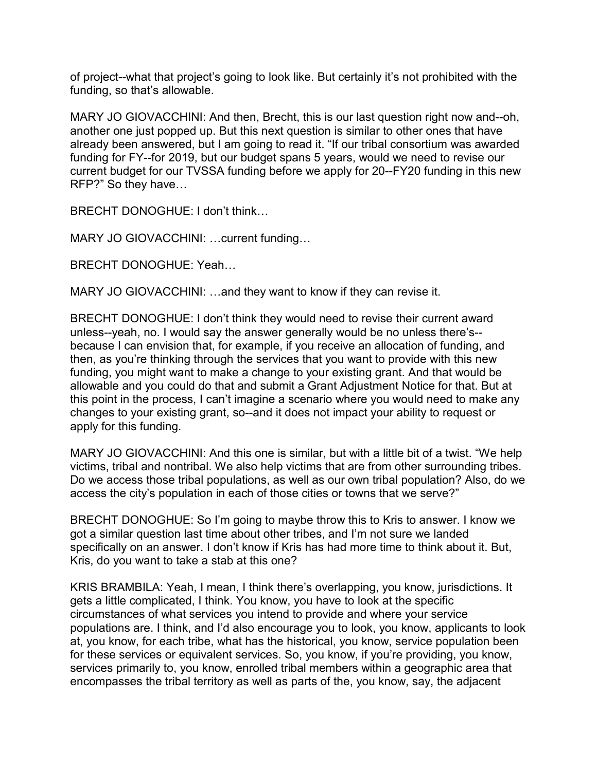of project--what that project's going to look like. But certainly it's not prohibited with the funding, so that's allowable.

MARY JO GIOVACCHINI: And then, Brecht, this is our last question right now and--oh, another one just popped up. But this next question is similar to other ones that have already been answered, but I am going to read it. "If our tribal consortium was awarded funding for FY--for 2019, but our budget spans 5 years, would we need to revise our current budget for our TVSSA funding before we apply for 20--FY20 funding in this new RFP?" So they have…

BRECHT DONOGHUE: I don't think…

MARY JO GIOVACCHINI: …current funding…

BRECHT DONOGHUE: Yeah…

MARY JO GIOVACCHINI: …and they want to know if they can revise it.

BRECHT DONOGHUE: I don't think they would need to revise their current award unless--yeah, no. I would say the answer generally would be no unless there's- because I can envision that, for example, if you receive an allocation of funding, and then, as you're thinking through the services that you want to provide with this new funding, you might want to make a change to your existing grant. And that would be allowable and you could do that and submit a Grant Adjustment Notice for that. But at this point in the process, I can't imagine a scenario where you would need to make any changes to your existing grant, so--and it does not impact your ability to request or apply for this funding.

MARY JO GIOVACCHINI: And this one is similar, but with a little bit of a twist. "We help victims, tribal and nontribal. We also help victims that are from other surrounding tribes. Do we access those tribal populations, as well as our own tribal population? Also, do we access the city's population in each of those cities or towns that we serve?"

BRECHT DONOGHUE: So I'm going to maybe throw this to Kris to answer. I know we got a similar question last time about other tribes, and I'm not sure we landed specifically on an answer. I don't know if Kris has had more time to think about it. But, Kris, do you want to take a stab at this one?

KRIS BRAMBILA: Yeah, I mean, I think there's overlapping, you know, jurisdictions. It gets a little complicated, I think. You know, you have to look at the specific circumstances of what services you intend to provide and where your service populations are. I think, and I'd also encourage you to look, you know, applicants to look at, you know, for each tribe, what has the historical, you know, service population been for these services or equivalent services. So, you know, if you're providing, you know, services primarily to, you know, enrolled tribal members within a geographic area that encompasses the tribal territory as well as parts of the, you know, say, the adjacent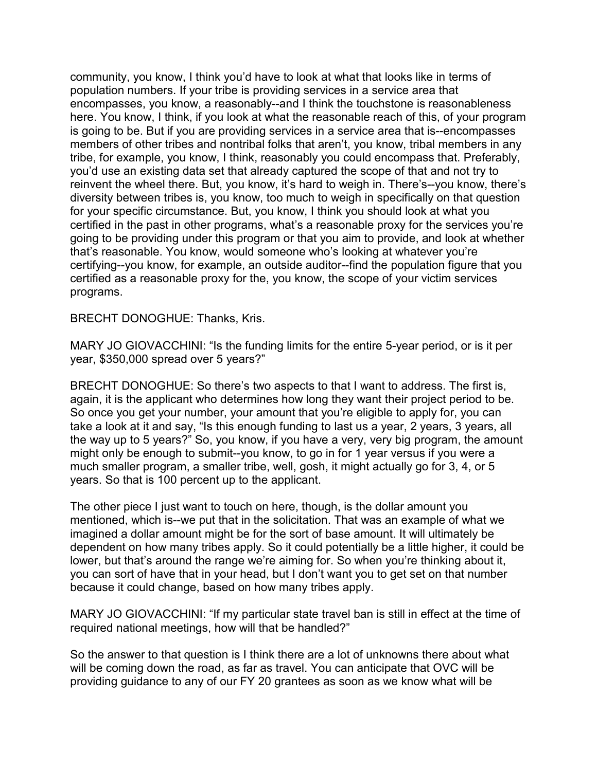community, you know, I think you'd have to look at what that looks like in terms of population numbers. If your tribe is providing services in a service area that encompasses, you know, a reasonably--and I think the touchstone is reasonableness here. You know, I think, if you look at what the reasonable reach of this, of your program is going to be. But if you are providing services in a service area that is--encompasses members of other tribes and nontribal folks that aren't, you know, tribal members in any tribe, for example, you know, I think, reasonably you could encompass that. Preferably, you'd use an existing data set that already captured the scope of that and not try to reinvent the wheel there. But, you know, it's hard to weigh in. There's--you know, there's diversity between tribes is, you know, too much to weigh in specifically on that question for your specific circumstance. But, you know, I think you should look at what you certified in the past in other programs, what's a reasonable proxy for the services you're going to be providing under this program or that you aim to provide, and look at whether that's reasonable. You know, would someone who's looking at whatever you're certifying--you know, for example, an outside auditor--find the population figure that you certified as a reasonable proxy for the, you know, the scope of your victim services programs.

BRECHT DONOGHUE: Thanks, Kris.

MARY JO GIOVACCHINI: "Is the funding limits for the entire 5-year period, or is it per year, \$350,000 spread over 5 years?"

BRECHT DONOGHUE: So there's two aspects to that I want to address. The first is, again, it is the applicant who determines how long they want their project period to be. So once you get your number, your amount that you're eligible to apply for, you can take a look at it and say, "Is this enough funding to last us a year, 2 years, 3 years, all the way up to 5 years?" So, you know, if you have a very, very big program, the amount might only be enough to submit--you know, to go in for 1 year versus if you were a much smaller program, a smaller tribe, well, gosh, it might actually go for 3, 4, or 5 years. So that is 100 percent up to the applicant.

The other piece I just want to touch on here, though, is the dollar amount you mentioned, which is--we put that in the solicitation. That was an example of what we imagined a dollar amount might be for the sort of base amount. It will ultimately be dependent on how many tribes apply. So it could potentially be a little higher, it could be lower, but that's around the range we're aiming for. So when you're thinking about it, you can sort of have that in your head, but I don't want you to get set on that number because it could change, based on how many tribes apply.

MARY JO GIOVACCHINI: "If my particular state travel ban is still in effect at the time of required national meetings, how will that be handled?"

So the answer to that question is I think there are a lot of unknowns there about what will be coming down the road, as far as travel. You can anticipate that OVC will be providing guidance to any of our FY 20 grantees as soon as we know what will be